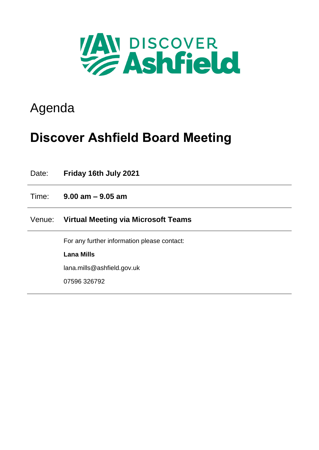

## Agenda

# **Discover Ashfield Board Meeting**

| Date:  | Friday 16th July 2021                       |
|--------|---------------------------------------------|
| Time:  | $9.00$ am $-9.05$ am                        |
| Venue: | Virtual Meeting via Microsoft Teams         |
|        | For any further information please contact: |
|        | <b>Lana Mills</b>                           |
|        | lana.mills@ashfield.gov.uk                  |
|        | 07596 326792                                |
|        |                                             |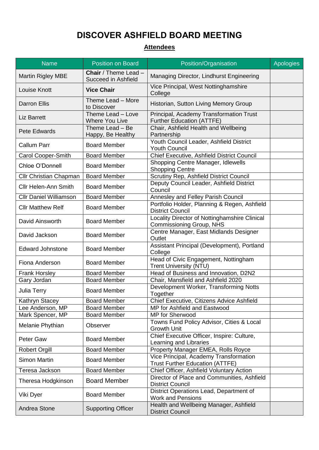### **DISCOVER ASHFIELD BOARD MEETING**

### **Attendees**

| <b>Name</b>                   | <b>Position on Board</b>                           | Position/Organisation                                                            | Apologies |
|-------------------------------|----------------------------------------------------|----------------------------------------------------------------------------------|-----------|
| <b>Martin Rigley MBE</b>      | <b>Chair</b> / Theme Lead -<br>Succeed in Ashfield | Managing Director, Lindhurst Engineering                                         |           |
| Louise Knott                  | <b>Vice Chair</b>                                  | Vice Principal, West Nottinghamshire<br>College                                  |           |
| <b>Darron Ellis</b>           | Theme Lead - More<br>to Discover                   | Historian, Sutton Living Memory Group                                            |           |
| <b>Liz Barrett</b>            | Theme Lead - Love<br><b>Where You Live</b>         | Principal, Academy Transformation Trust<br><b>Further Education (ATTFE)</b>      |           |
| Pete Edwards                  | Theme Lead - Be<br>Happy, Be Healthy               | Chair, Ashfield Health and Wellbeing<br>Partnership                              |           |
| <b>Callum Parr</b>            | <b>Board Member</b>                                | Youth Council Leader, Ashfield District<br><b>Youth Council</b>                  |           |
| <b>Carol Cooper-Smith</b>     | <b>Board Member</b>                                | Chief Executive, Ashfield District Council                                       |           |
| Chloe O'Donnell               | <b>Board Member</b>                                | Shopping Centre Manager, Idlewells<br><b>Shopping Centre</b>                     |           |
| Cllr Christian Chapman        | <b>Board Member</b>                                | Scrutiny Rep, Ashfield District Council                                          |           |
| <b>Cllr Helen-Ann Smith</b>   | <b>Board Member</b>                                | Deputy Council Leader, Ashfield District<br>Council                              |           |
| <b>Cllr Daniel Williamson</b> | <b>Board Member</b>                                | <b>Annesley and Felley Parish Council</b>                                        |           |
| <b>Cllr Matthew Relf</b>      | <b>Board Member</b>                                | Portfolio Holder, Planning & Regen, Ashfield<br><b>District Council</b>          |           |
| David Ainsworth               | <b>Board Member</b>                                | Locality Director of Nottinghamshire Clinical<br>Commissioning Group, NHS        |           |
| David Jackson                 | <b>Board Member</b>                                | Centre Manager, East Midlands Designer<br>Outlet                                 |           |
| <b>Edward Johnstone</b>       | <b>Board Member</b>                                | Assistant Principal (Development), Portland<br>College                           |           |
| Fiona Anderson                | <b>Board Member</b>                                | Head of Civic Engagement, Nottingham<br><b>Trent University (NTU)</b>            |           |
| <b>Frank Horsley</b>          | <b>Board Member</b>                                | Head of Business and Innovation, D2N2                                            |           |
| Gary Jordan                   | <b>Board Member</b>                                | Chair, Mansfield and Ashfield 2020                                               |           |
| Julia Terry                   | <b>Board Member</b>                                | Development Worker, Transforming Notts<br>Together                               |           |
| Kathryn Stacey                | <b>Board Member</b>                                | Chief Executive, Citizens Advice Ashfield                                        |           |
| Lee Anderson, MP              | <b>Board Member</b>                                | MP for Ashfield and Eastwood                                                     |           |
| Mark Spencer, MP              | <b>Board Member</b>                                | MP for Sherwood                                                                  |           |
| Melanie Phythian              | Observer                                           | Towns Fund Policy Advisor, Cities & Local<br><b>Growth Unit</b>                  |           |
| <b>Peter Gaw</b>              | <b>Board Member</b>                                | Chief Executive Officer, Inspire: Culture,<br>Learning and Libraries             |           |
| <b>Robert Orgill</b>          | <b>Board Member</b>                                | Property Manager EMEA, Rolls Royce                                               |           |
| <b>Simon Martin</b>           | <b>Board Member</b>                                | Vice Principal, Academy Transformation<br><b>Trust Further Education (ATTFE)</b> |           |
| Teresa Jackson                | <b>Board Member</b>                                | Chief Officer, Ashfield Voluntary Action                                         |           |
| Theresa Hodgkinson            | <b>Board Member</b>                                | Director of Place and Communities, Ashfield<br><b>District Council</b>           |           |
| Viki Dyer                     | <b>Board Member</b>                                | District Operations Lead, Department of<br><b>Work and Pensions</b>              |           |
| Andrea Stone                  | <b>Supporting Officer</b>                          | Health and Wellbeing Manager, Ashfield<br><b>District Council</b>                |           |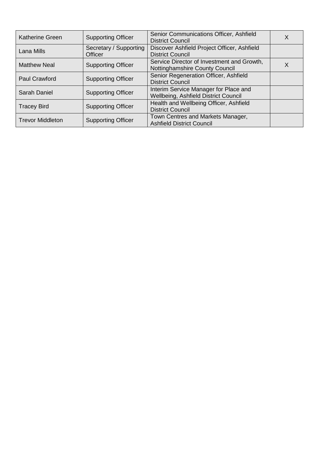| <b>Katherine Green</b>  | <b>Supporting Officer</b>         | Senior Communications Officer, Ashfield<br><b>District Council</b>                  | Χ |
|-------------------------|-----------------------------------|-------------------------------------------------------------------------------------|---|
| Lana Mills              | Secretary / Supporting<br>Officer | Discover Ashfield Project Officer, Ashfield<br><b>District Council</b>              |   |
| <b>Matthew Neal</b>     | <b>Supporting Officer</b>         | Service Director of Investment and Growth,<br><b>Nottinghamshire County Council</b> |   |
| <b>Paul Crawford</b>    | <b>Supporting Officer</b>         | Senior Regeneration Officer, Ashfield<br><b>District Council</b>                    |   |
| Sarah Daniel            | <b>Supporting Officer</b>         | Interim Service Manager for Place and<br>Wellbeing, Ashfield District Council       |   |
| <b>Tracey Bird</b>      | <b>Supporting Officer</b>         | Health and Wellbeing Officer, Ashfield<br><b>District Council</b>                   |   |
| <b>Trevor Middleton</b> | <b>Supporting Officer</b>         | Town Centres and Markets Manager,<br><b>Ashfield District Council</b>               |   |